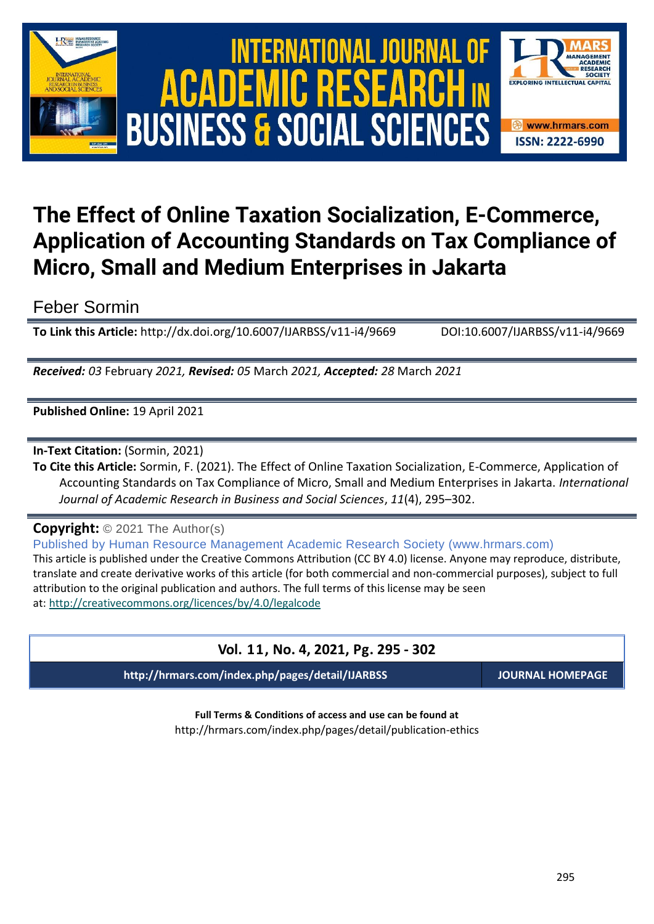

# International Journal of Academic Research in Business and Social Sciences **Vol. 1 1 , No. 4, 2021, E-ISSN: 2222-6990 © 2021 HRMARS ACADEMIC BUSINESS & SOCIAL SCIENCES**



## **The Effect of Online Taxation Socialization, E-Commerce, Application of Accounting Standards on Tax Compliance of Micro, Small and Medium Enterprises in Jakarta**

Feber Sormin

**To Link this Article:** http://dx.doi.org/10.6007/IJARBSS/v11-i4/9669 DOI:10.6007/IJARBSS/v11-i4/9669

*Received: 03* February *2021, Revised: 05* March *2021, Accepted: 28* March *2021*

**Published Online:** 19 April 2021

**In-Text Citation:** (Sormin, 2021)

**To Cite this Article:** Sormin, F. (2021). The Effect of Online Taxation Socialization, E-Commerce, Application of Accounting Standards on Tax Compliance of Micro, Small and Medium Enterprises in Jakarta. *International Journal of Academic Research in Business and Social Sciences*, *11*(4), 295–302.

**Copyright:** © 2021 The Author(s)

Published by Human Resource Management Academic Research Society (www.hrmars.com) This article is published under the Creative Commons Attribution (CC BY 4.0) license. Anyone may reproduce, distribute, translate and create derivative works of this article (for both commercial and non-commercial purposes), subject to full attribution to the original publication and authors. The full terms of this license may be seen at: <http://creativecommons.org/licences/by/4.0/legalcode>

### **Vol. 11, No. 4, 2021, Pg. 295 - 302**

**http://hrmars.com/index.php/pages/detail/IJARBSS JOURNAL HOMEPAGE**

**Full Terms & Conditions of access and use can be found at** http://hrmars.com/index.php/pages/detail/publication-ethics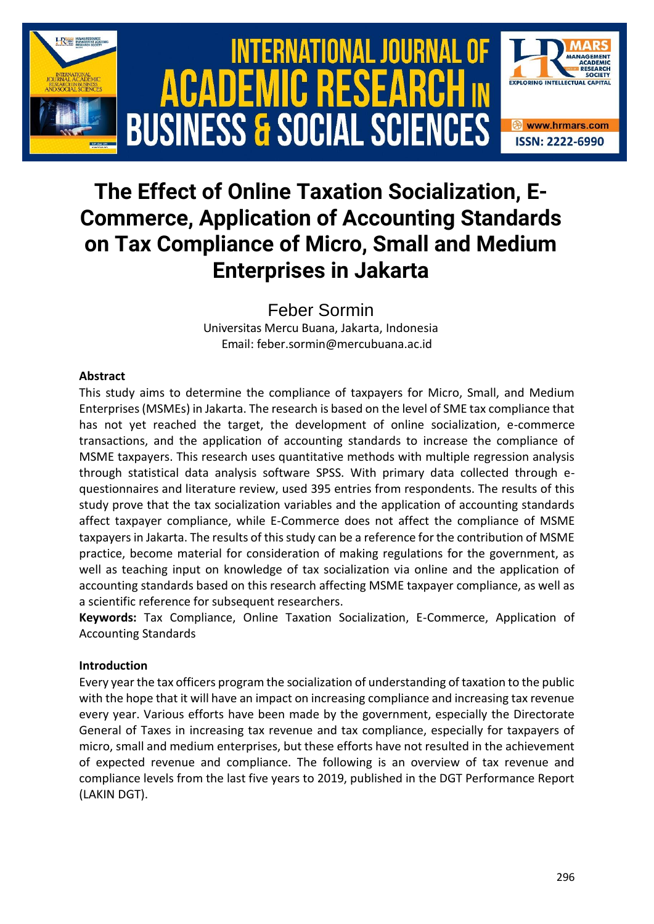

## **The Effect of Online Taxation Socialization, E-Commerce, Application of Accounting Standards on Tax Compliance of Micro, Small and Medium Enterprises in Jakarta**

Feber Sormin

Universitas Mercu Buana, Jakarta, Indonesia Email: feber.sormin@mercubuana.ac.id

#### **Abstract**

This study aims to determine the compliance of taxpayers for Micro, Small, and Medium Enterprises (MSMEs) in Jakarta. The research is based on the level of SME tax compliance that has not yet reached the target, the development of online socialization, e-commerce transactions, and the application of accounting standards to increase the compliance of MSME taxpayers. This research uses quantitative methods with multiple regression analysis through statistical data analysis software SPSS. With primary data collected through equestionnaires and literature review, used 395 entries from respondents. The results of this study prove that the tax socialization variables and the application of accounting standards affect taxpayer compliance, while E-Commerce does not affect the compliance of MSME taxpayers in Jakarta. The results of this study can be a reference for the contribution of MSME practice, become material for consideration of making regulations for the government, as well as teaching input on knowledge of tax socialization via online and the application of accounting standards based on this research affecting MSME taxpayer compliance, as well as a scientific reference for subsequent researchers.

**Keywords:** Tax Compliance, Online Taxation Socialization, E-Commerce, Application of Accounting Standards

#### **Introduction**

Every year the tax officers program the socialization of understanding of taxation to the public with the hope that it will have an impact on increasing compliance and increasing tax revenue every year. Various efforts have been made by the government, especially the Directorate General of Taxes in increasing tax revenue and tax compliance, especially for taxpayers of micro, small and medium enterprises, but these efforts have not resulted in the achievement of expected revenue and compliance. The following is an overview of tax revenue and compliance levels from the last five years to 2019, published in the DGT Performance Report (LAKIN DGT).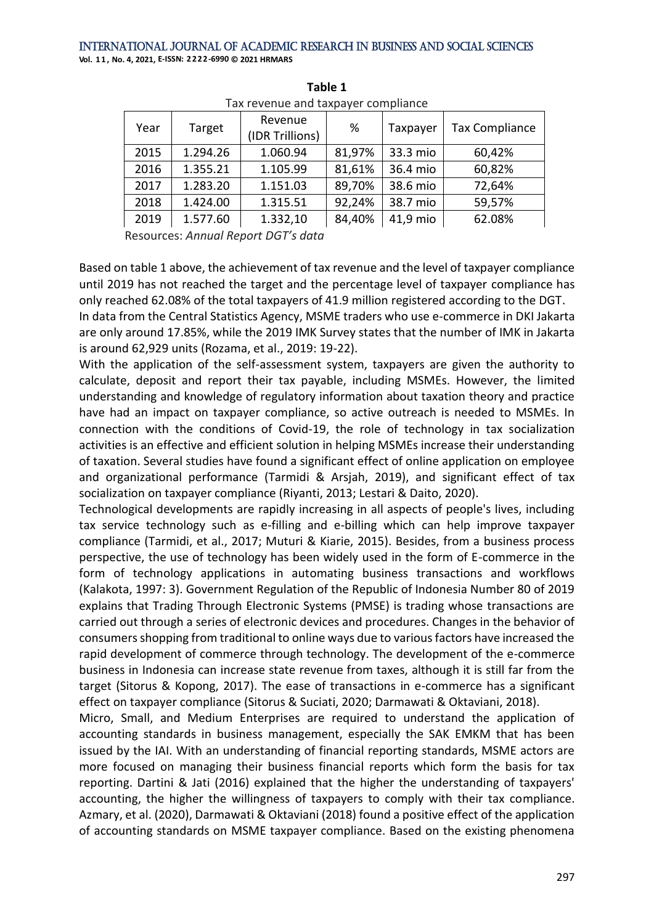| Year | Target   | Revenue<br>(IDR Trillions) | %      | Taxpayer | <b>Tax Compliance</b> |  |
|------|----------|----------------------------|--------|----------|-----------------------|--|
| 2015 | 1.294.26 | 1.060.94                   | 81,97% | 33.3 mio | 60,42%                |  |
| 2016 | 1.355.21 | 1.105.99                   | 81,61% | 36.4 mio | 60,82%                |  |
| 2017 | 1.283.20 | 1.151.03                   | 89,70% | 38.6 mio | 72,64%                |  |
| 2018 | 1.424.00 | 1.315.51                   | 92,24% | 38.7 mio | 59,57%                |  |
| 2019 | 1.577.60 | 1.332,10                   | 84,40% | 41,9 mio | 62.08%                |  |
|      |          |                            |        |          |                       |  |

**Table 1** Tax revenue and taxpayer compliance

Resources: *Annual Report DGT's data*

Based on table 1 above, the achievement of tax revenue and the level of taxpayer compliance until 2019 has not reached the target and the percentage level of taxpayer compliance has only reached 62.08% of the total taxpayers of 41.9 million registered according to the DGT.

In data from the Central Statistics Agency, MSME traders who use e-commerce in DKI Jakarta are only around 17.85%, while the 2019 IMK Survey states that the number of IMK in Jakarta is around 62,929 units (Rozama, et al., 2019: 19-22).

With the application of the self-assessment system, taxpayers are given the authority to calculate, deposit and report their tax payable, including MSMEs. However, the limited understanding and knowledge of regulatory information about taxation theory and practice have had an impact on taxpayer compliance, so active outreach is needed to MSMEs. In connection with the conditions of Covid-19, the role of technology in tax socialization activities is an effective and efficient solution in helping MSMEs increase their understanding of taxation. Several studies have found a significant effect of online application on employee and organizational performance (Tarmidi & Arsjah, 2019), and significant effect of tax socialization on taxpayer compliance (Riyanti, 2013; Lestari & Daito, 2020).

Technological developments are rapidly increasing in all aspects of people's lives, including tax service technology such as e-filling and e-billing which can help improve taxpayer compliance (Tarmidi, et al., 2017; Muturi & Kiarie, 2015). Besides, from a business process perspective, the use of technology has been widely used in the form of E-commerce in the form of technology applications in automating business transactions and workflows (Kalakota, 1997: 3). Government Regulation of the Republic of Indonesia Number 80 of 2019 explains that Trading Through Electronic Systems (PMSE) is trading whose transactions are carried out through a series of electronic devices and procedures. Changes in the behavior of consumers shopping from traditional to online ways due to various factors have increased the rapid development of commerce through technology. The development of the e-commerce business in Indonesia can increase state revenue from taxes, although it is still far from the target (Sitorus & Kopong, 2017). The ease of transactions in e-commerce has a significant effect on taxpayer compliance (Sitorus & Suciati, 2020; Darmawati & Oktaviani, 2018).

Micro, Small, and Medium Enterprises are required to understand the application of accounting standards in business management, especially the SAK EMKM that has been issued by the IAI. With an understanding of financial reporting standards, MSME actors are more focused on managing their business financial reports which form the basis for tax reporting. Dartini & Jati (2016) explained that the higher the understanding of taxpayers' accounting, the higher the willingness of taxpayers to comply with their tax compliance. Azmary, et al. (2020), Darmawati & Oktaviani (2018) found a positive effect of the application of accounting standards on MSME taxpayer compliance. Based on the existing phenomena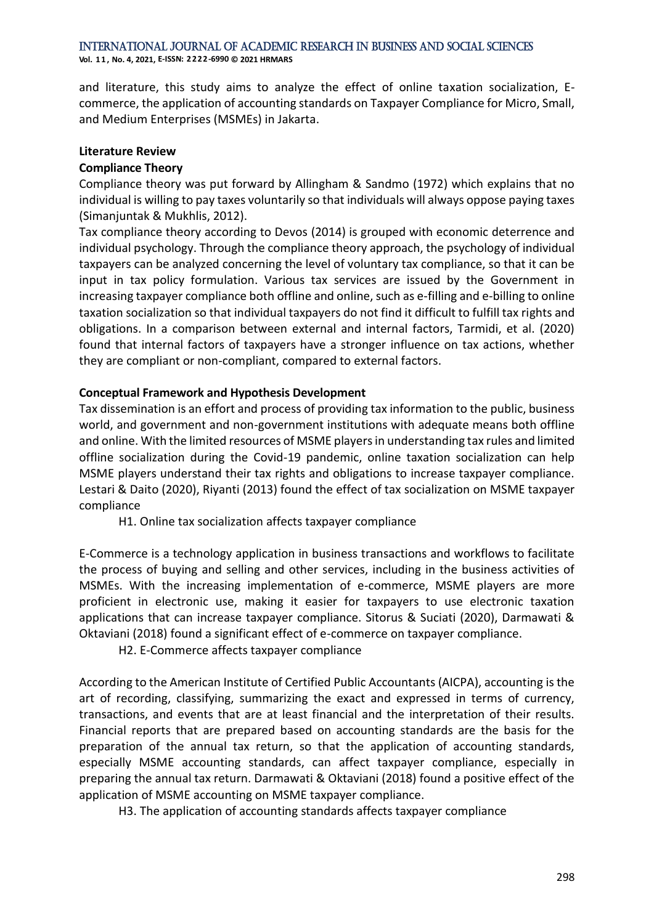International Journal of Academic Research in Business and Social Sciences

**Vol. 1 1 , No. 4, 2021, E-ISSN: 2222-6990 © 2021 HRMARS**

and literature, this study aims to analyze the effect of online taxation socialization, Ecommerce, the application of accounting standards on Taxpayer Compliance for Micro, Small, and Medium Enterprises (MSMEs) in Jakarta.

#### **Literature Review**

#### **Compliance Theory**

Compliance theory was put forward by Allingham & Sandmo (1972) which explains that no individual is willing to pay taxes voluntarily so that individuals will always oppose paying taxes (Simanjuntak & Mukhlis, 2012).

Tax compliance theory according to Devos (2014) is grouped with economic deterrence and individual psychology. Through the compliance theory approach, the psychology of individual taxpayers can be analyzed concerning the level of voluntary tax compliance, so that it can be input in tax policy formulation. Various tax services are issued by the Government in increasing taxpayer compliance both offline and online, such as e-filling and e-billing to online taxation socialization so that individual taxpayers do not find it difficult to fulfill tax rights and obligations. In a comparison between external and internal factors, Tarmidi, et al. (2020) found that internal factors of taxpayers have a stronger influence on tax actions, whether they are compliant or non-compliant, compared to external factors.

#### **Conceptual Framework and Hypothesis Development**

Tax dissemination is an effort and process of providing tax information to the public, business world, and government and non-government institutions with adequate means both offline and online. With the limited resources of MSME players in understanding tax rules and limited offline socialization during the Covid-19 pandemic, online taxation socialization can help MSME players understand their tax rights and obligations to increase taxpayer compliance. Lestari & Daito (2020), Riyanti (2013) found the effect of tax socialization on MSME taxpayer compliance

H1. Online tax socialization affects taxpayer compliance

E-Commerce is a technology application in business transactions and workflows to facilitate the process of buying and selling and other services, including in the business activities of MSMEs. With the increasing implementation of e-commerce, MSME players are more proficient in electronic use, making it easier for taxpayers to use electronic taxation applications that can increase taxpayer compliance. Sitorus & Suciati (2020), Darmawati & Oktaviani (2018) found a significant effect of e-commerce on taxpayer compliance.

H2. E-Commerce affects taxpayer compliance

According to the American Institute of Certified Public Accountants (AICPA), accounting is the art of recording, classifying, summarizing the exact and expressed in terms of currency, transactions, and events that are at least financial and the interpretation of their results. Financial reports that are prepared based on accounting standards are the basis for the preparation of the annual tax return, so that the application of accounting standards, especially MSME accounting standards, can affect taxpayer compliance, especially in preparing the annual tax return. Darmawati & Oktaviani (2018) found a positive effect of the application of MSME accounting on MSME taxpayer compliance.

H3. The application of accounting standards affects taxpayer compliance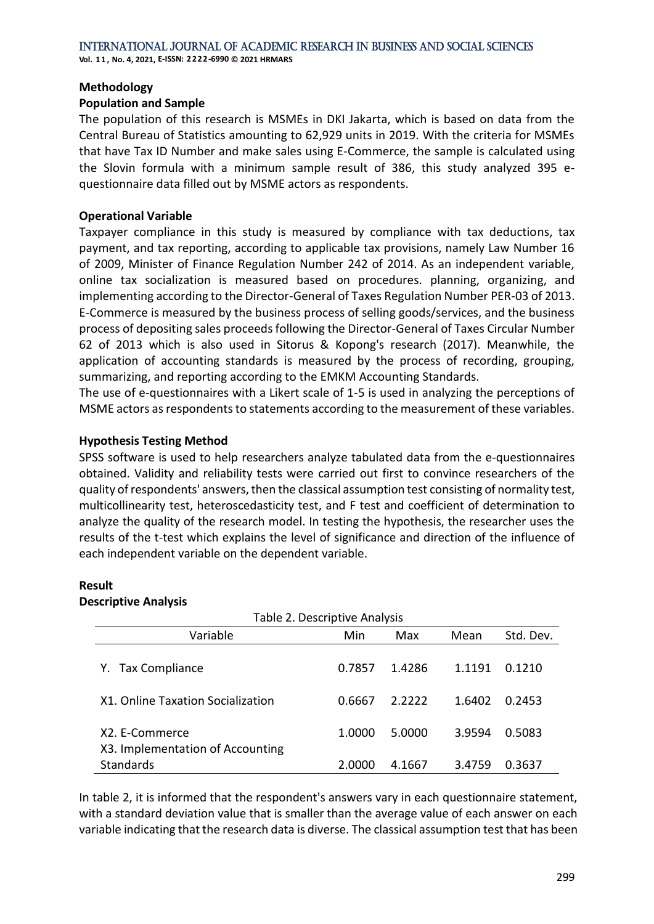**Vol. 1 1 , No. 4, 2021, E-ISSN: 2222-6990 © 2021 HRMARS**

#### **Methodology**

#### **Population and Sample**

The population of this research is MSMEs in DKI Jakarta, which is based on data from the Central Bureau of Statistics amounting to 62,929 units in 2019. With the criteria for MSMEs that have Tax ID Number and make sales using E-Commerce, the sample is calculated using the Slovin formula with a minimum sample result of 386, this study analyzed 395 equestionnaire data filled out by MSME actors as respondents.

#### **Operational Variable**

Taxpayer compliance in this study is measured by compliance with tax deductions, tax payment, and tax reporting, according to applicable tax provisions, namely Law Number 16 of 2009, Minister of Finance Regulation Number 242 of 2014. As an independent variable, online tax socialization is measured based on procedures. planning, organizing, and implementing according to the Director-General of Taxes Regulation Number PER-03 of 2013. E-Commerce is measured by the business process of selling goods/services, and the business process of depositing sales proceeds following the Director-General of Taxes Circular Number 62 of 2013 which is also used in Sitorus & Kopong's research (2017). Meanwhile, the application of accounting standards is measured by the process of recording, grouping, summarizing, and reporting according to the EMKM Accounting Standards.

The use of e-questionnaires with a Likert scale of 1-5 is used in analyzing the perceptions of MSME actors as respondents to statements according to the measurement of these variables.

#### **Hypothesis Testing Method**

SPSS software is used to help researchers analyze tabulated data from the e-questionnaires obtained. Validity and reliability tests were carried out first to convince researchers of the quality of respondents' answers, then the classical assumption test consisting of normality test, multicollinearity test, heteroscedasticity test, and F test and coefficient of determination to analyze the quality of the research model. In testing the hypothesis, the researcher uses the results of the t-test which explains the level of significance and direction of the influence of each independent variable on the dependent variable.

#### **Result**

#### **Descriptive Analysis**

| Table 2. Descriptive Analysis                      |        |        |        |           |  |  |  |
|----------------------------------------------------|--------|--------|--------|-----------|--|--|--|
| Variable                                           | Min    | Max    | Mean   | Std. Dev. |  |  |  |
| <b>Tax Compliance</b><br>Y.                        | 0.7857 | 1.4286 | 1.1191 | 0.1210    |  |  |  |
| X1. Online Taxation Socialization                  | 0.6667 | 2.2222 | 1.6402 | 0.2453    |  |  |  |
| X2. E-Commerce<br>X3. Implementation of Accounting | 1.0000 | 5.0000 | 3.9594 | 0.5083    |  |  |  |
| <b>Standards</b>                                   | 2.0000 | 4.1667 | 3.4759 | 0.3637    |  |  |  |

In table 2, it is informed that the respondent's answers vary in each questionnaire statement, with a standard deviation value that is smaller than the average value of each answer on each variable indicating that the research data is diverse. The classical assumption test that has been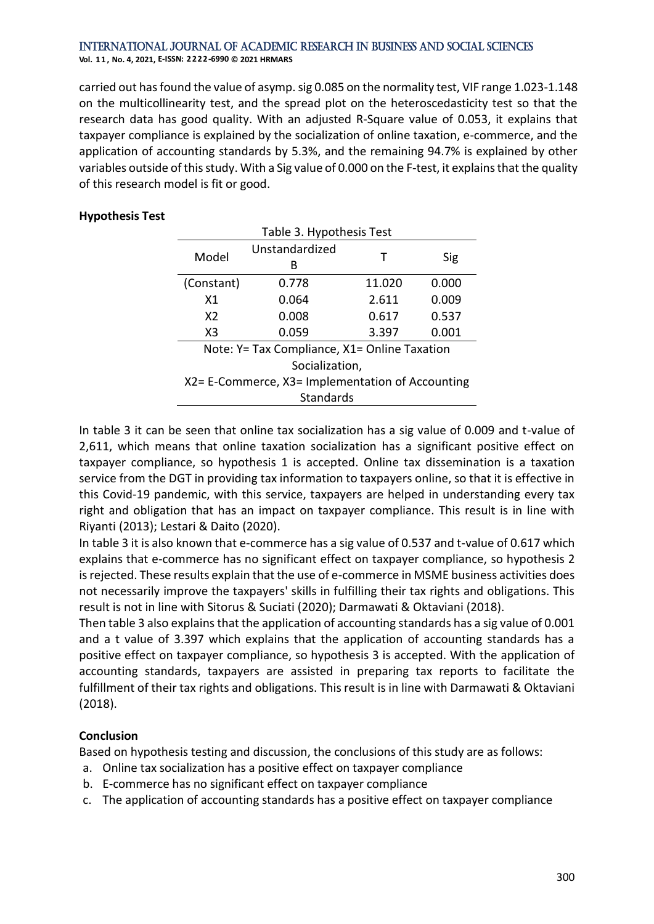#### International Journal of Academic Research in Business and Social Sciences **Vol. 1 1 , No. 4, 2021, E-ISSN: 2222-6990 © 2021 HRMARS**

carried out has found the value of asymp. sig 0.085 on the normality test, VIF range 1.023-1.148 on the multicollinearity test, and the spread plot on the heteroscedasticity test so that the research data has good quality. With an adjusted R-Square value of 0.053, it explains that taxpayer compliance is explained by the socialization of online taxation, e-commerce, and the application of accounting standards by 5.3%, and the remaining 94.7% is explained by other variables outside of this study. With a Sig value of 0.000 on the F-test, it explains that the quality of this research model is fit or good.

#### **Hypothesis Test**

| Table 3. Hypothesis Test                         |                |        |       |  |  |  |  |
|--------------------------------------------------|----------------|--------|-------|--|--|--|--|
| Model                                            | Unstandardized | Τ      | Sig   |  |  |  |  |
|                                                  | В              |        |       |  |  |  |  |
| (Constant)                                       | 0.778          | 11.020 | 0.000 |  |  |  |  |
| X1                                               | 0.064          | 2.611  | 0.009 |  |  |  |  |
| X <sub>2</sub>                                   | 0.008          | 0.617  | 0.537 |  |  |  |  |
| X3                                               | 0.059          | 3.397  | 0.001 |  |  |  |  |
| Note: Y= Tax Compliance, X1= Online Taxation     |                |        |       |  |  |  |  |
| Socialization,                                   |                |        |       |  |  |  |  |
| X2= E-Commerce, X3= Implementation of Accounting |                |        |       |  |  |  |  |
| <b>Standards</b>                                 |                |        |       |  |  |  |  |

In table 3 it can be seen that online tax socialization has a sig value of 0.009 and t-value of 2,611, which means that online taxation socialization has a significant positive effect on taxpayer compliance, so hypothesis 1 is accepted. Online tax dissemination is a taxation service from the DGT in providing tax information to taxpayers online, so that it is effective in this Covid-19 pandemic, with this service, taxpayers are helped in understanding every tax right and obligation that has an impact on taxpayer compliance. This result is in line with Riyanti (2013); Lestari & Daito (2020).

In table 3 it is also known that e-commerce has a sig value of 0.537 and t-value of 0.617 which explains that e-commerce has no significant effect on taxpayer compliance, so hypothesis 2 is rejected. These results explain that the use of e-commerce in MSME business activities does not necessarily improve the taxpayers' skills in fulfilling their tax rights and obligations. This result is not in line with Sitorus & Suciati (2020); Darmawati & Oktaviani (2018).

Then table 3 also explains that the application of accounting standards has a sig value of 0.001 and a t value of 3.397 which explains that the application of accounting standards has a positive effect on taxpayer compliance, so hypothesis 3 is accepted. With the application of accounting standards, taxpayers are assisted in preparing tax reports to facilitate the fulfillment of their tax rights and obligations. This result is in line with Darmawati & Oktaviani (2018).

#### **Conclusion**

Based on hypothesis testing and discussion, the conclusions of this study are as follows:

- a. Online tax socialization has a positive effect on taxpayer compliance
- b. E-commerce has no significant effect on taxpayer compliance
- c. The application of accounting standards has a positive effect on taxpayer compliance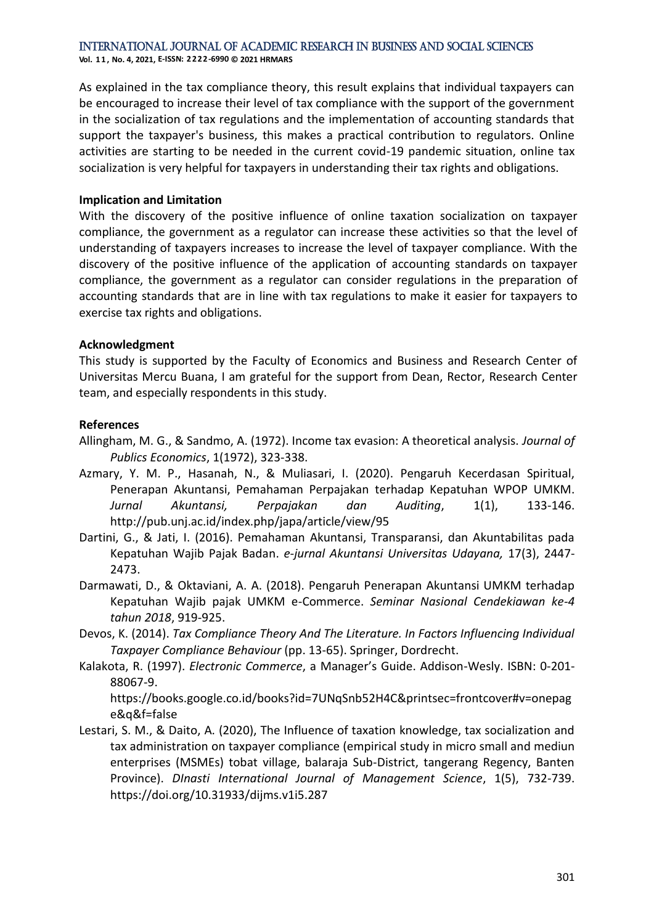International Journal of Academic Research in Business and Social Sciences

**Vol. 1 1 , No. 4, 2021, E-ISSN: 2222-6990 © 2021 HRMARS**

As explained in the tax compliance theory, this result explains that individual taxpayers can be encouraged to increase their level of tax compliance with the support of the government in the socialization of tax regulations and the implementation of accounting standards that support the taxpayer's business, this makes a practical contribution to regulators. Online activities are starting to be needed in the current covid-19 pandemic situation, online tax socialization is very helpful for taxpayers in understanding their tax rights and obligations.

#### **Implication and Limitation**

With the discovery of the positive influence of online taxation socialization on taxpayer compliance, the government as a regulator can increase these activities so that the level of understanding of taxpayers increases to increase the level of taxpayer compliance. With the discovery of the positive influence of the application of accounting standards on taxpayer compliance, the government as a regulator can consider regulations in the preparation of accounting standards that are in line with tax regulations to make it easier for taxpayers to exercise tax rights and obligations.

#### **Acknowledgment**

This study is supported by the Faculty of Economics and Business and Research Center of Universitas Mercu Buana, I am grateful for the support from Dean, Rector, Research Center team, and especially respondents in this study.

#### **References**

- Allingham, M. G., & Sandmo, A. (1972). Income tax evasion: A theoretical analysis. *Journal of Publics Economics*, 1(1972), 323-338.
- Azmary, Y. M. P., Hasanah, N., & Muliasari, I. (2020). Pengaruh Kecerdasan Spiritual, Penerapan Akuntansi, Pemahaman Perpajakan terhadap Kepatuhan WPOP UMKM. *Jurnal Akuntansi, Perpajakan dan Auditing*, 1(1), 133-146. http://pub.unj.ac.id/index.php/japa/article/view/95
- Dartini, G., & Jati, I. (2016). Pemahaman Akuntansi, Transparansi, dan Akuntabilitas pada Kepatuhan Wajib Pajak Badan. *e-jurnal Akuntansi Universitas Udayana,* 17(3), 2447- 2473.
- Darmawati, D., & Oktaviani, A. A. (2018). Pengaruh Penerapan Akuntansi UMKM terhadap Kepatuhan Wajib pajak UMKM e-Commerce. *Seminar Nasional Cendekiawan ke-4 tahun 2018*, 919-925.
- Devos, K. (2014). *Tax Compliance Theory And The Literature. In Factors Influencing Individual Taxpayer Compliance Behaviour* (pp. 13-65). Springer, Dordrecht.
- Kalakota, R. (1997). *Electronic Commerce*, a Manager's Guide. Addison-Wesly. ISBN: 0-201- 88067-9.

https://books.google.co.id/books?id=7UNqSnb52H4C&printsec=frontcover#v=onepag e&q&f=false

Lestari, S. M., & Daito, A. (2020), The Influence of taxation knowledge, tax socialization and tax administration on taxpayer compliance (empirical study in micro small and mediun enterprises (MSMEs) tobat village, balaraja Sub-District, tangerang Regency, Banten Province). *DInasti International Journal of Management Science*, 1(5), 732-739. https://doi.org/10.31933/dijms.v1i5.287